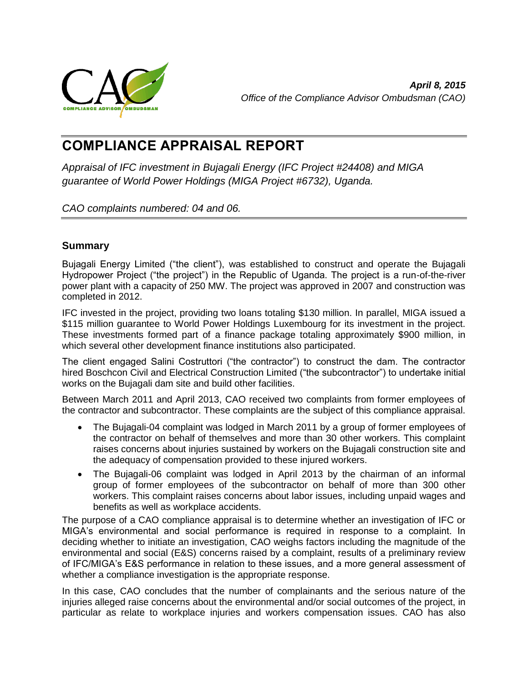

# **COMPLIANCE APPRAISAL REPORT**

*Appraisal of IFC investment in Bujagali Energy (IFC Project #24408) and MIGA guarantee of World Power Holdings (MIGA Project #6732), Uganda.*

<span id="page-0-0"></span>*CAO complaints numbered: 04 and 06.*

# **Summary**

Bujagali Energy Limited ("the client"), was established to construct and operate the Bujagali Hydropower Project ("the project") in the Republic of Uganda. The project is a run-of-the-river power plant with a capacity of 250 MW. The project was approved in 2007 and construction was completed in 2012.

IFC invested in the project, providing two loans totaling \$130 million. In parallel, MIGA issued a \$115 million guarantee to World Power Holdings Luxembourg for its investment in the project. These investments formed part of a finance package totaling approximately \$900 million, in which several other development finance institutions also participated.

The client engaged Salini Costruttori ("the contractor") to construct the dam. The contractor hired Boschcon Civil and Electrical Construction Limited ("the subcontractor") to undertake initial works on the Bujagali dam site and build other facilities.

Between March 2011 and April 2013, CAO received two complaints from former employees of the contractor and subcontractor. These complaints are the subject of this compliance appraisal.

- The Bujagali-04 complaint was lodged in March 2011 by a group of former employees of the contractor on behalf of themselves and more than 30 other workers. This complaint raises concerns about injuries sustained by workers on the Bujagali construction site and the adequacy of compensation provided to these injured workers.
- The Bujagali-06 complaint was lodged in April 2013 by the chairman of an informal group of former employees of the subcontractor on behalf of more than 300 other workers. This complaint raises concerns about labor issues, including unpaid wages and benefits as well as workplace accidents.

The purpose of a CAO compliance appraisal is to determine whether an investigation of IFC or MIGA's environmental and social performance is required in response to a complaint. In deciding whether to initiate an investigation, CAO weighs factors including the magnitude of the environmental and social (E&S) concerns raised by a complaint, results of a preliminary review of IFC/MIGA's E&S performance in relation to these issues, and a more general assessment of whether a compliance investigation is the appropriate response.

In this case, CAO concludes that the number of complainants and the serious nature of the injuries alleged raise concerns about the environmental and/or social outcomes of the project, in particular as relate to workplace injuries and workers compensation issues. CAO has also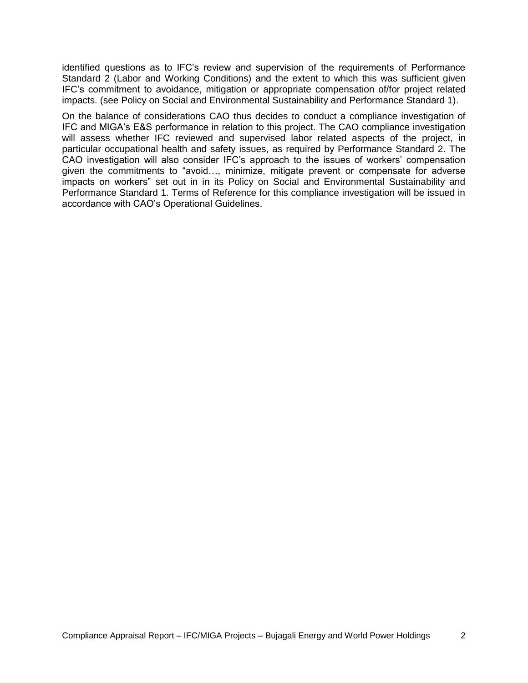identified questions as to IFC's review and supervision of the requirements of Performance Standard 2 (Labor and Working Conditions) and the extent to which this was sufficient given IFC's commitment to avoidance, mitigation or appropriate compensation of/for project related impacts. (see Policy on Social and Environmental Sustainability and Performance Standard 1).

On the balance of considerations CAO thus decides to conduct a compliance investigation of IFC and MIGA's E&S performance in relation to this project. The CAO compliance investigation will assess whether IFC reviewed and supervised labor related aspects of the project, in particular occupational health and safety issues, as required by Performance Standard 2. The CAO investigation will also consider IFC's approach to the issues of workers' compensation given the commitments to "avoid…, minimize, mitigate prevent or compensate for adverse impacts on workers" set out in in its Policy on Social and Environmental Sustainability and Performance Standard 1. Terms of Reference for this compliance investigation will be issued in accordance with CAO's Operational Guidelines.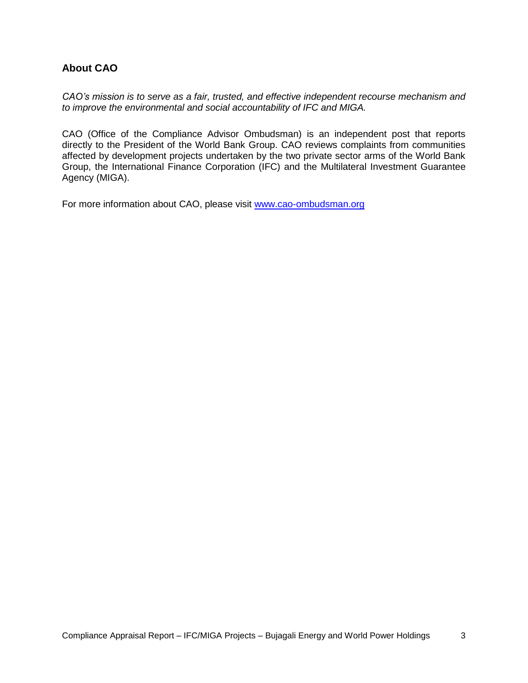# <span id="page-2-0"></span>**About CAO**

*CAO's mission is to serve as a fair, trusted, and effective independent recourse mechanism and to improve the environmental and social accountability of IFC and MIGA.*

CAO (Office of the Compliance Advisor Ombudsman) is an independent post that reports directly to the President of the World Bank Group. CAO reviews complaints from communities affected by development projects undertaken by the two private sector arms of the World Bank Group, the International Finance Corporation (IFC) and the Multilateral Investment Guarantee Agency (MIGA).

For more information about CAO, please visit [www.cao-ombudsman.org](http://www.cao-ombudsman.org/)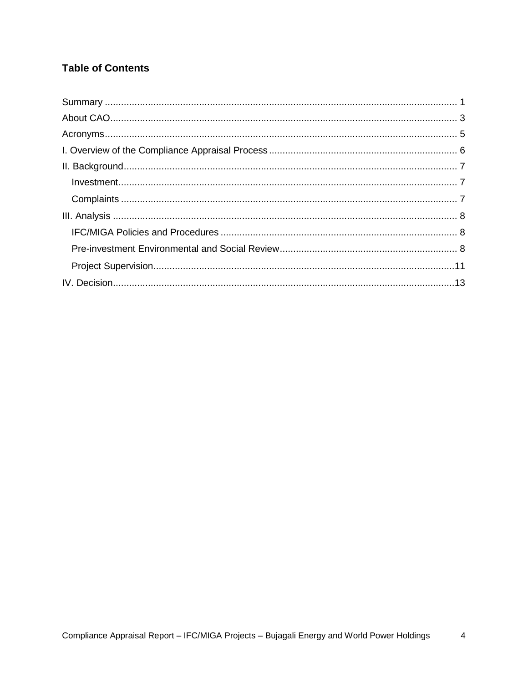# **Table of Contents**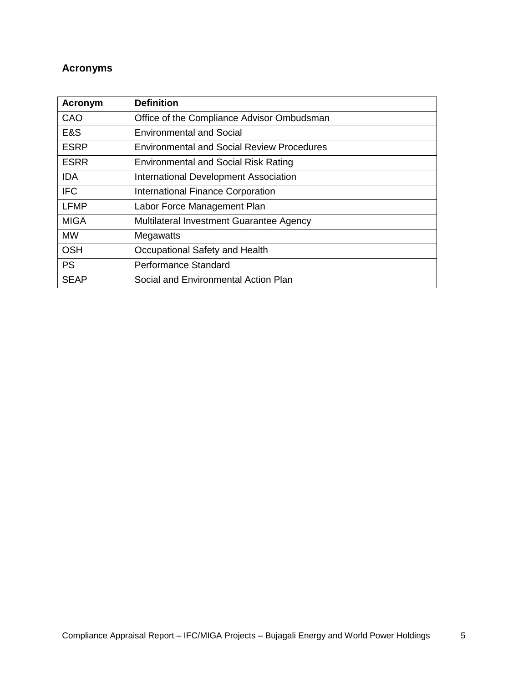# <span id="page-4-0"></span>**Acronyms**

| Acronym     | <b>Definition</b>                                 |
|-------------|---------------------------------------------------|
| CAO         | Office of the Compliance Advisor Ombudsman        |
| E&S         | <b>Environmental and Social</b>                   |
| <b>ESRP</b> | <b>Environmental and Social Review Procedures</b> |
| <b>ESRR</b> | <b>Environmental and Social Risk Rating</b>       |
| <b>IDA</b>  | International Development Association             |
| <b>IFC</b>  | <b>International Finance Corporation</b>          |
| <b>LFMP</b> | Labor Force Management Plan                       |
| <b>MIGA</b> | Multilateral Investment Guarantee Agency          |
| <b>MW</b>   | Megawatts                                         |
| <b>OSH</b>  | Occupational Safety and Health                    |
| <b>PS</b>   | Performance Standard                              |
| <b>SEAP</b> | Social and Environmental Action Plan              |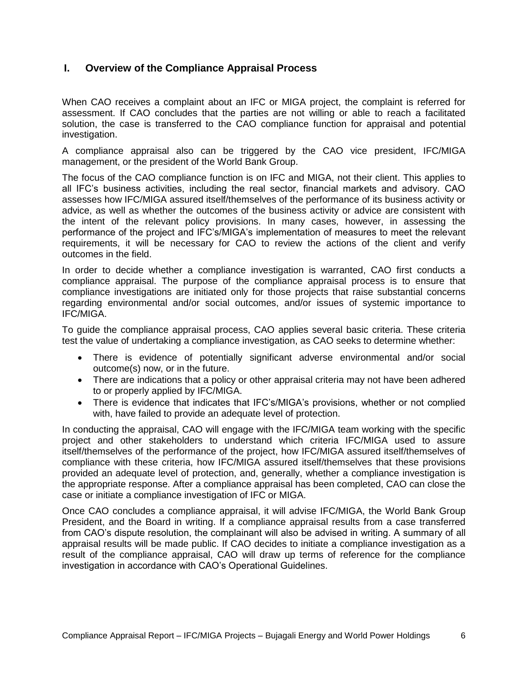# <span id="page-5-0"></span>**I. Overview of the Compliance Appraisal Process**

When CAO receives a complaint about an IFC or MIGA project, the complaint is referred for assessment. If CAO concludes that the parties are not willing or able to reach a facilitated solution, the case is transferred to the CAO compliance function for appraisal and potential investigation.

A compliance appraisal also can be triggered by the CAO vice president, IFC/MIGA management, or the president of the World Bank Group.

The focus of the CAO compliance function is on IFC and MIGA, not their client. This applies to all IFC's business activities, including the real sector, financial markets and advisory. CAO assesses how IFC/MIGA assured itself/themselves of the performance of its business activity or advice, as well as whether the outcomes of the business activity or advice are consistent with the intent of the relevant policy provisions. In many cases, however, in assessing the performance of the project and IFC's/MIGA's implementation of measures to meet the relevant requirements, it will be necessary for CAO to review the actions of the client and verify outcomes in the field.

In order to decide whether a compliance investigation is warranted, CAO first conducts a compliance appraisal. The purpose of the compliance appraisal process is to ensure that compliance investigations are initiated only for those projects that raise substantial concerns regarding environmental and/or social outcomes, and/or issues of systemic importance to IFC/MIGA.

To guide the compliance appraisal process, CAO applies several basic criteria. These criteria test the value of undertaking a compliance investigation, as CAO seeks to determine whether:

- There is evidence of potentially significant adverse environmental and/or social outcome(s) now, or in the future.
- There are indications that a policy or other appraisal criteria may not have been adhered to or properly applied by IFC/MIGA.
- There is evidence that indicates that IFC's/MIGA's provisions, whether or not complied with, have failed to provide an adequate level of protection.

In conducting the appraisal, CAO will engage with the IFC/MIGA team working with the specific project and other stakeholders to understand which criteria IFC/MIGA used to assure itself/themselves of the performance of the project, how IFC/MIGA assured itself/themselves of compliance with these criteria, how IFC/MIGA assured itself/themselves that these provisions provided an adequate level of protection, and, generally, whether a compliance investigation is the appropriate response. After a compliance appraisal has been completed, CAO can close the case or initiate a compliance investigation of IFC or MIGA.

Once CAO concludes a compliance appraisal, it will advise IFC/MIGA, the World Bank Group President, and the Board in writing. If a compliance appraisal results from a case transferred from CAO's dispute resolution, the complainant will also be advised in writing. A summary of all appraisal results will be made public. If CAO decides to initiate a compliance investigation as a result of the compliance appraisal, CAO will draw up terms of reference for the compliance investigation in accordance with CAO's Operational Guidelines.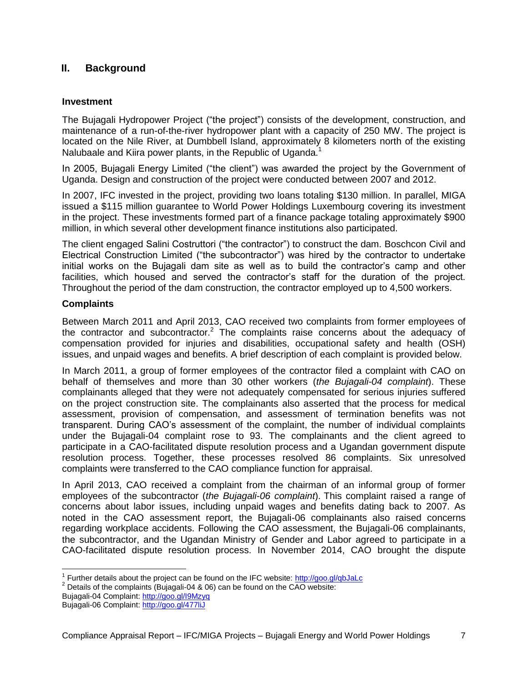# <span id="page-6-0"></span>**II. Background**

#### <span id="page-6-1"></span>**Investment**

The Bujagali Hydropower Project ("the project") consists of the development, construction, and maintenance of a run-of-the-river hydropower plant with a capacity of 250 MW. The project is located on the Nile River, at Dumbbell Island, approximately 8 kilometers north of the existing Nalubaale and Kiira power plants, in the Republic of Uganda.<sup>1</sup>

In 2005, Bujagali Energy Limited ("the client") was awarded the project by the Government of Uganda. Design and construction of the project were conducted between 2007 and 2012.

In 2007, IFC invested in the project, providing two loans totaling \$130 million. In parallel, MIGA issued a \$115 million guarantee to World Power Holdings Luxembourg covering its investment in the project. These investments formed part of a finance package totaling approximately \$900 million, in which several other development finance institutions also participated.

The client engaged Salini Costruttori ("the contractor") to construct the dam. Boschcon Civil and Electrical Construction Limited ("the subcontractor") was hired by the contractor to undertake initial works on the Bujagali dam site as well as to build the contractor's camp and other facilities, which housed and served the contractor's staff for the duration of the project. Throughout the period of the dam construction, the contractor employed up to 4,500 workers.

### <span id="page-6-2"></span>**Complaints**

Between March 2011 and April 2013, CAO received two complaints from former employees of the contractor and subcontractor.<sup>2</sup> The complaints raise concerns about the adequacy of compensation provided for injuries and disabilities, occupational safety and health (OSH) issues, and unpaid wages and benefits. A brief description of each complaint is provided below.

In March 2011, a group of former employees of the contractor filed a complaint with CAO on behalf of themselves and more than 30 other workers (*the Bujagali-04 complaint*). These complainants alleged that they were not adequately compensated for serious injuries suffered on the project construction site. The complainants also asserted that the process for medical assessment, provision of compensation, and assessment of termination benefits was not transparent. During CAO's assessment of the complaint, the number of individual complaints under the Bujagali-04 complaint rose to 93. The complainants and the client agreed to participate in a CAO-facilitated dispute resolution process and a Ugandan government dispute resolution process. Together, these processes resolved 86 complaints. Six unresolved complaints were transferred to the CAO compliance function for appraisal.

In April 2013, CAO received a complaint from the chairman of an informal group of former employees of the subcontractor (*the Bujagali-06 complaint*). This complaint raised a range of concerns about labor issues, including unpaid wages and benefits dating back to 2007. As noted in the CAO assessment report, the Bujagali-06 complainants also raised concerns regarding workplace accidents. Following the CAO assessment, the Bujagali-06 complainants, the subcontractor, and the Ugandan Ministry of Gender and Labor agreed to participate in a CAO-facilitated dispute resolution process. In November 2014, CAO brought the dispute

<sup>————————————————————&</sup>lt;br><sup>1</sup> Further details about the project can be found on the IFC website: <u>http://goo.gl/qbJaLc</u>

 $2$  Details of the complaints (Bujagali-04 & 06) can be found on the CAO website:

Bujagali-04 Complaint:<http://goo.gl/I9Mzyq>

Bujagali-06 Complaint:<http://goo.gl/477liJ>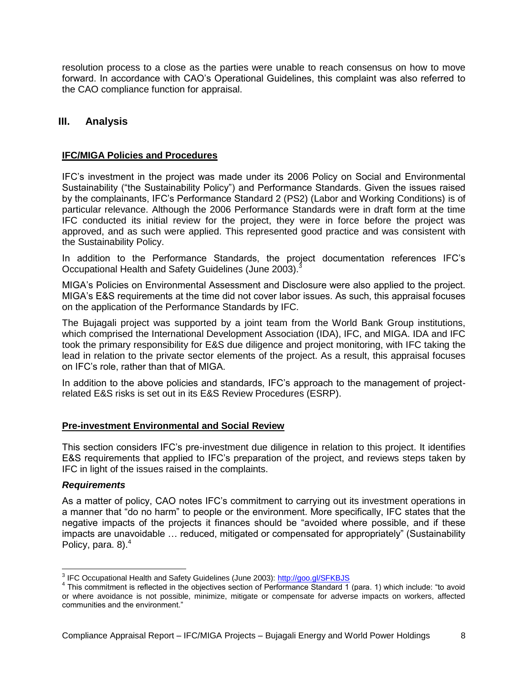resolution process to a close as the parties were unable to reach consensus on how to move forward. In accordance with CAO's Operational Guidelines, this complaint was also referred to the CAO compliance function for appraisal.

## <span id="page-7-0"></span>**III. Analysis**

#### <span id="page-7-1"></span>**IFC/MIGA Policies and Procedures**

IFC's investment in the project was made under its 2006 Policy on Social and Environmental Sustainability ("the Sustainability Policy") and Performance Standards. Given the issues raised by the complainants, IFC's Performance Standard 2 (PS2) (Labor and Working Conditions) is of particular relevance. Although the 2006 Performance Standards were in draft form at the time IFC conducted its initial review for the project, they were in force before the project was approved, and as such were applied. This represented good practice and was consistent with the Sustainability Policy.

In addition to the Performance Standards, the project documentation references IFC's Occupational Health and Safety Guidelines (June 2003).<sup>3</sup>

MIGA's Policies on Environmental Assessment and Disclosure were also applied to the project. MIGA's E&S requirements at the time did not cover labor issues. As such, this appraisal focuses on the application of the Performance Standards by IFC.

The Bujagali project was supported by a joint team from the World Bank Group institutions, which comprised the International Development Association (IDA), IFC, and MIGA. IDA and IFC took the primary responsibility for E&S due diligence and project monitoring, with IFC taking the lead in relation to the private sector elements of the project. As a result, this appraisal focuses on IFC's role, rather than that of MIGA.

In addition to the above policies and standards, IFC's approach to the management of projectrelated E&S risks is set out in its E&S Review Procedures (ESRP).

#### <span id="page-7-2"></span>**Pre-investment Environmental and Social Review**

This section considers IFC's pre-investment due diligence in relation to this project. It identifies E&S requirements that applied to IFC's preparation of the project, and reviews steps taken by IFC in light of the issues raised in the complaints.

#### *Requirements*

As a matter of policy, CAO notes IFC's commitment to carrying out its investment operations in a manner that "do no harm" to people or the environment. More specifically, IFC states that the negative impacts of the projects it finances should be "avoided where possible, and if these impacts are unavoidable … reduced, mitigated or compensated for appropriately" (Sustainability Policy, para.  $8$ ). $4$ 

 3 IFC Occupational Health and Safety Guidelines (June 2003):<http://goo.gl/SFKBJS>

<sup>&</sup>lt;sup>4</sup> This commitment is reflected in the objectives section of Performance Standard 1 (para. 1) which include: "to avoid or where avoidance is not possible, minimize, mitigate or compensate for adverse impacts on workers, affected communities and the environment."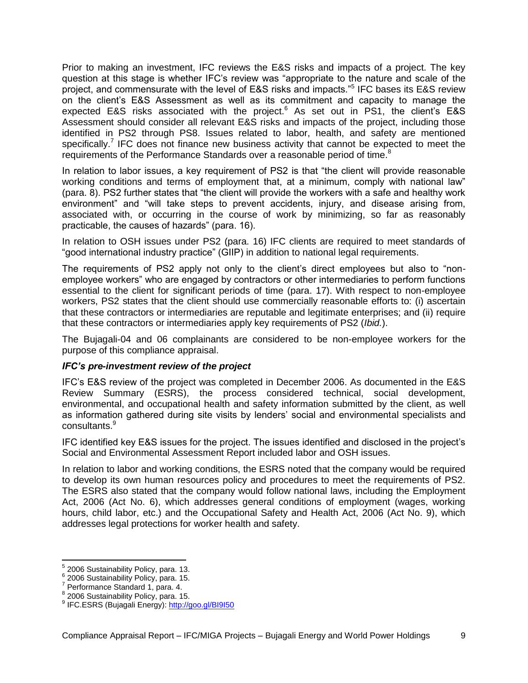Prior to making an investment, IFC reviews the E&S risks and impacts of a project. The key question at this stage is whether IFC's review was "appropriate to the nature and scale of the project, and commensurate with the level of E&S risks and impacts."<sup>5</sup> IFC bases its E&S review on the client's E&S Assessment as well as its commitment and capacity to manage the expected E&S risks associated with the project.<sup>6</sup> As set out in PS1, the client's E&S Assessment should consider all relevant E&S risks and impacts of the project, including those identified in PS2 through PS8. Issues related to labor, health, and safety are mentioned specifically.<sup>7</sup> IFC does not finance new business activity that cannot be expected to meet the requirements of the Performance Standards over a reasonable period of time.<sup>8</sup>

In relation to labor issues, a key requirement of PS2 is that "the client will provide reasonable working conditions and terms of employment that, at a minimum, comply with national law" (para. 8). PS2 further states that "the client will provide the workers with a safe and healthy work environment" and "will take steps to prevent accidents, injury, and disease arising from, associated with, or occurring in the course of work by minimizing, so far as reasonably practicable, the causes of hazards" (para. 16).

In relation to OSH issues under PS2 (para. 16) IFC clients are required to meet standards of "good international industry practice" (GIIP) in addition to national legal requirements.

The requirements of PS2 apply not only to the client's direct employees but also to "nonemployee workers" who are engaged by contractors or other intermediaries to perform functions essential to the client for significant periods of time (para. 17). With respect to non-employee workers, PS2 states that the client should use commercially reasonable efforts to: (i) ascertain that these contractors or intermediaries are reputable and legitimate enterprises; and (ii) require that these contractors or intermediaries apply key requirements of PS2 (*Ibid.*).

The Bujagali-04 and 06 complainants are considered to be non-employee workers for the purpose of this compliance appraisal.

#### *IFC's pre-investment review of the project*

IFC's E&S review of the project was completed in December 2006. As documented in the E&S Review Summary (ESRS), the process considered technical, social development, environmental, and occupational health and safety information submitted by the client, as well as information gathered during site visits by lenders' social and environmental specialists and consultants.<sup>9</sup>

IFC identified key E&S issues for the project. The issues identified and disclosed in the project's Social and Environmental Assessment Report included labor and OSH issues.

In relation to labor and working conditions, the ESRS noted that the company would be required to develop its own human resources policy and procedures to meet the requirements of PS2. The ESRS also stated that the company would follow national laws, including the Employment Act, 2006 (Act No. 6), which addresses general conditions of employment (wages, working hours, child labor, etc.) and the Occupational Safety and Health Act, 2006 (Act No. 9), which addresses legal protections for worker health and safety.

 5 2006 Sustainability Policy, para. 13.

<sup>&</sup>lt;sup>6</sup> 2006 Sustainability Policy, para. 15.

Performance Standard 1, para. 4.

<sup>8</sup> 2006 Sustainability Policy, para. 15.

<sup>&</sup>lt;sup>9</sup> IFC.ESRS (Bujagali Energy): <http://goo.gl/BI9I50>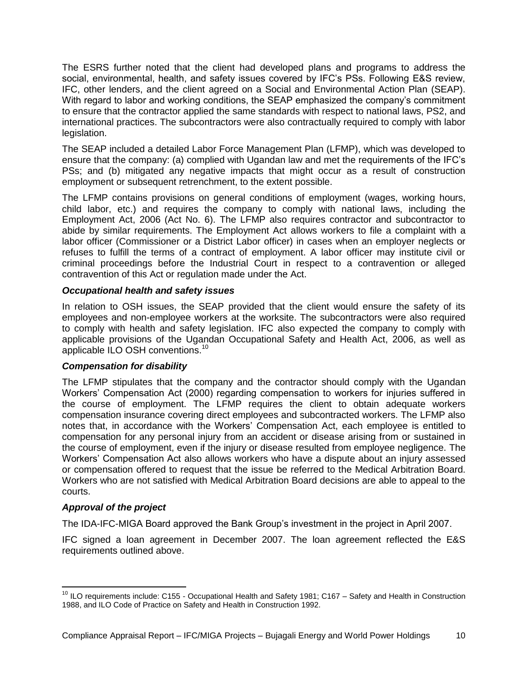The ESRS further noted that the client had developed plans and programs to address the social, environmental, health, and safety issues covered by IFC's PSs. Following E&S review, IFC, other lenders, and the client agreed on a Social and Environmental Action Plan (SEAP). With regard to labor and working conditions, the SEAP emphasized the company's commitment to ensure that the contractor applied the same standards with respect to national laws, PS2, and international practices. The subcontractors were also contractually required to comply with labor legislation.

The SEAP included a detailed Labor Force Management Plan (LFMP), which was developed to ensure that the company: (a) complied with Ugandan law and met the requirements of the IFC's PSs; and (b) mitigated any negative impacts that might occur as a result of construction employment or subsequent retrenchment, to the extent possible.

The LFMP contains provisions on general conditions of employment (wages, working hours, child labor, etc.) and requires the company to comply with national laws, including the Employment Act, 2006 (Act No. 6). The LFMP also requires contractor and subcontractor to abide by similar requirements. The Employment Act allows workers to file a complaint with a labor officer (Commissioner or a District Labor officer) in cases when an employer neglects or refuses to fulfill the terms of a contract of employment. A labor officer may institute civil or criminal proceedings before the Industrial Court in respect to a contravention or alleged contravention of this Act or regulation made under the Act.

#### *Occupational health and safety issues*

In relation to OSH issues, the SEAP provided that the client would ensure the safety of its employees and non-employee workers at the worksite. The subcontractors were also required to comply with health and safety legislation. IFC also expected the company to comply with applicable provisions of the Ugandan Occupational Safety and Health Act, 2006, as well as applicable ILO OSH conventions.<sup>10</sup>

#### *Compensation for disability*

The LFMP stipulates that the company and the contractor should comply with the Ugandan Workers' Compensation Act (2000) regarding compensation to workers for injuries suffered in the course of employment. The LFMP requires the client to obtain adequate workers compensation insurance covering direct employees and subcontracted workers. The LFMP also notes that, in accordance with the Workers' Compensation Act, each employee is entitled to compensation for any personal injury from an accident or disease arising from or sustained in the course of employment, even if the injury or disease resulted from employee negligence. The Workers' Compensation Act also allows workers who have a dispute about an injury assessed or compensation offered to request that the issue be referred to the Medical Arbitration Board. Workers who are not satisfied with Medical Arbitration Board decisions are able to appeal to the courts.

#### *Approval of the project*

 $\overline{\phantom{a}}$ 

The IDA-IFC-MIGA Board approved the Bank Group's investment in the project in April 2007.

IFC signed a loan agreement in December 2007. The loan agreement reflected the E&S requirements outlined above.

<sup>&</sup>lt;sup>10</sup> ILO requirements include: C155 - Occupational Health and Safety 1981; C167 – Safety and Health in Construction 1988, and ILO Code of Practice on Safety and Health in Construction 1992.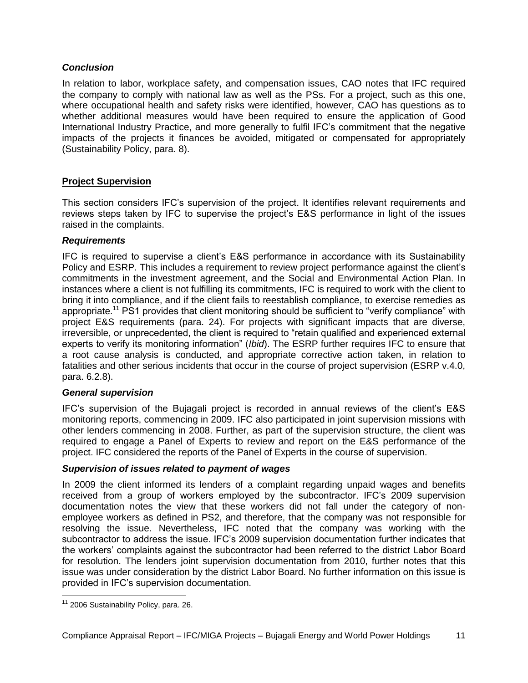#### *Conclusion*

In relation to labor, workplace safety, and compensation issues, CAO notes that IFC required the company to comply with national law as well as the PSs. For a project, such as this one, where occupational health and safety risks were identified, however, CAO has questions as to whether additional measures would have been required to ensure the application of Good International Industry Practice, and more generally to fulfil IFC's commitment that the negative impacts of the projects it finances be avoided, mitigated or compensated for appropriately (Sustainability Policy, para. 8).

#### <span id="page-10-0"></span>**Project Supervision**

This section considers IFC's supervision of the project. It identifies relevant requirements and reviews steps taken by IFC to supervise the project's E&S performance in light of the issues raised in the complaints.

#### *Requirements*

IFC is required to supervise a client's E&S performance in accordance with its Sustainability Policy and ESRP. This includes a requirement to review project performance against the client's commitments in the investment agreement, and the Social and Environmental Action Plan. In instances where a client is not fulfilling its commitments, IFC is required to work with the client to bring it into compliance, and if the client fails to reestablish compliance, to exercise remedies as appropriate.<sup>11</sup> PS1 provides that client monitoring should be sufficient to "verify compliance" with project E&S requirements (para. 24). For projects with significant impacts that are diverse, irreversible, or unprecedented, the client is required to "retain qualified and experienced external experts to verify its monitoring information" (*Ibid*). The ESRP further requires IFC to ensure that a root cause analysis is conducted, and appropriate corrective action taken, in relation to fatalities and other serious incidents that occur in the course of project supervision (ESRP v.4.0, para. 6.2.8).

#### *General supervision*

IFC's supervision of the Bujagali project is recorded in annual reviews of the client's E&S monitoring reports, commencing in 2009. IFC also participated in joint supervision missions with other lenders commencing in 2008. Further, as part of the supervision structure, the client was required to engage a Panel of Experts to review and report on the E&S performance of the project. IFC considered the reports of the Panel of Experts in the course of supervision.

#### *Supervision of issues related to payment of wages*

In 2009 the client informed its lenders of a complaint regarding unpaid wages and benefits received from a group of workers employed by the subcontractor. IFC's 2009 supervision documentation notes the view that these workers did not fall under the category of nonemployee workers as defined in PS2, and therefore, that the company was not responsible for resolving the issue. Nevertheless, IFC noted that the company was working with the subcontractor to address the issue. IFC's 2009 supervision documentation further indicates that the workers' complaints against the subcontractor had been referred to the district Labor Board for resolution. The lenders joint supervision documentation from 2010, further notes that this issue was under consideration by the district Labor Board. No further information on this issue is provided in IFC's supervision documentation.

 $\overline{a}$ 

<sup>&</sup>lt;sup>11</sup> 2006 Sustainability Policy, para. 26.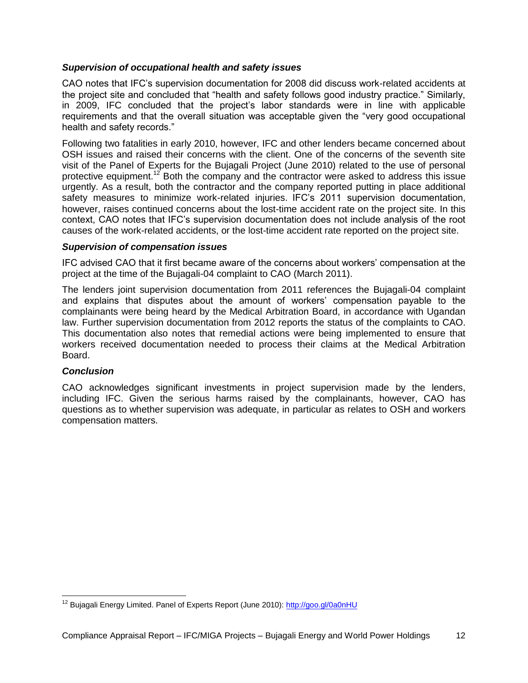#### *Supervision of occupational health and safety issues*

CAO notes that IFC's supervision documentation for 2008 did discuss work-related accidents at the project site and concluded that "health and safety follows good industry practice." Similarly, in 2009, IFC concluded that the project's labor standards were in line with applicable requirements and that the overall situation was acceptable given the "very good occupational health and safety records."

Following two fatalities in early 2010, however, IFC and other lenders became concerned about OSH issues and raised their concerns with the client. One of the concerns of the seventh site visit of the Panel of Experts for the Bujagali Project (June 2010) related to the use of personal protective equipment.<sup>12</sup> Both the company and the contractor were asked to address this issue urgently. As a result, both the contractor and the company reported putting in place additional safety measures to minimize work-related injuries. IFC's 2011 supervision documentation, however, raises continued concerns about the lost-time accident rate on the project site. In this context, CAO notes that IFC's supervision documentation does not include analysis of the root causes of the work-related accidents, or the lost-time accident rate reported on the project site.

#### *Supervision of compensation issues*

IFC advised CAO that it first became aware of the concerns about workers' compensation at the project at the time of the Bujagali-04 complaint to CAO (March 2011).

The lenders joint supervision documentation from 2011 references the Bujagali-04 complaint and explains that disputes about the amount of workers' compensation payable to the complainants were being heard by the Medical Arbitration Board, in accordance with Ugandan law. Further supervision documentation from 2012 reports the status of the complaints to CAO. This documentation also notes that remedial actions were being implemented to ensure that workers received documentation needed to process their claims at the Medical Arbitration Board.

#### *Conclusion*

 $\overline{a}$ 

CAO acknowledges significant investments in project supervision made by the lenders, including IFC. Given the serious harms raised by the complainants, however, CAO has questions as to whether supervision was adequate, in particular as relates to OSH and workers compensation matters.

<sup>&</sup>lt;sup>12</sup> Bujagali Energy Limited. Panel of Experts Report (June 2010): <http://goo.gl/0a0nHU>